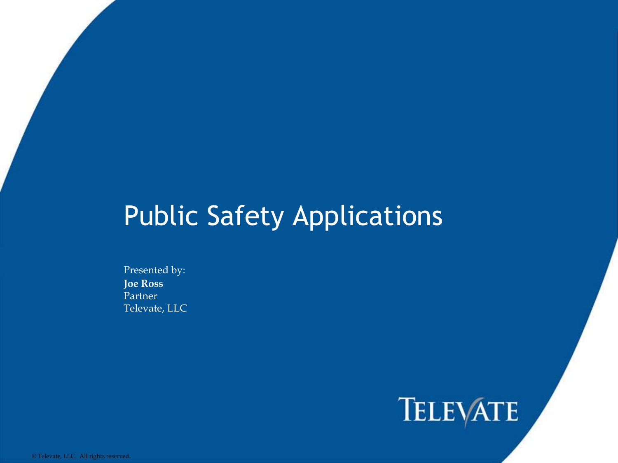#### Public Safety Applications

Presented by: **Joe Ross** Partner Televate, LLC

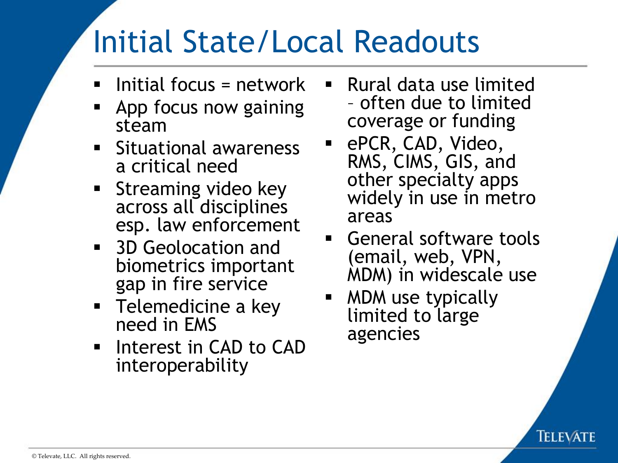## Initial State/Local Readouts

- $\blacksquare$  Initial focus = network
- App focus now gaining steam
- Situational awareness a critical need
- **E** Streaming video key across all disciplines esp. law enforcement
- 3D Geolocation and biometrics important gap in fire service
- Telemedicine a key need in EMS
- Interest in CAD to CAD interoperability
- Rural data use limited – often due to limited coverage or funding
- ePCR, CAD, Video, RMS, CIMS, GIS, and other specialty apps widely in use in metro areas
- General software tools (email, web, VPN, MDM) in widescale use
- MDM use typically limited to large agencies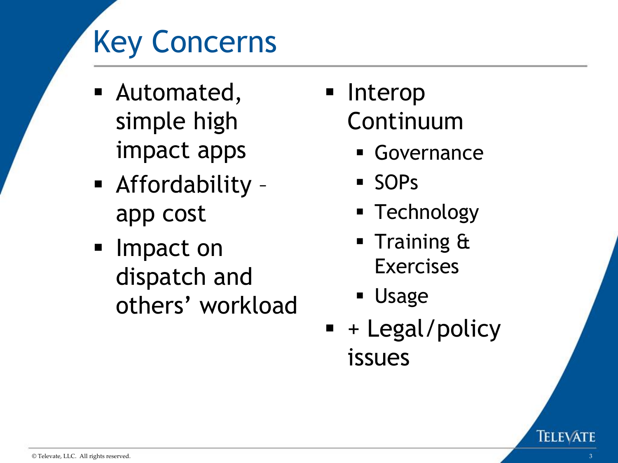# Key Concerns

- Automated, simple high impact apps
- Affordability app cost
- Impact on dispatch and others' workload
- Interop Continuum
	- Governance
	- SOPs
	- Technology
	- Training & Exercises
	- Usage
- $\blacksquare$  + Legal/policy issues

TELEVATE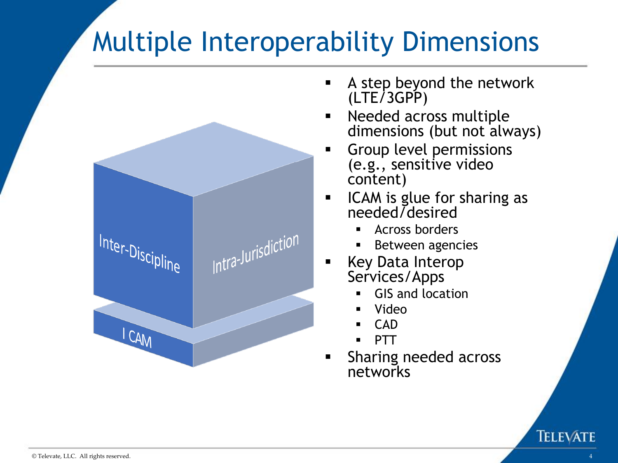### Multiple Interoperability Dimensions



- **EXECT** A step beyond the network (LTE/3GPP)
- Needed across multiple dimensions (but not always)
- Group level permissions (e.g., sensitive video content)
- ICAM is glue for sharing as needed/desired
	- Across borders
	- Between agencies
- Key Data Interop Services/Apps
	- **GIS and location**
	- Video
	- **CAD**
	- **PTT**
- **EXE** Sharing needed across networks

TELEVATE